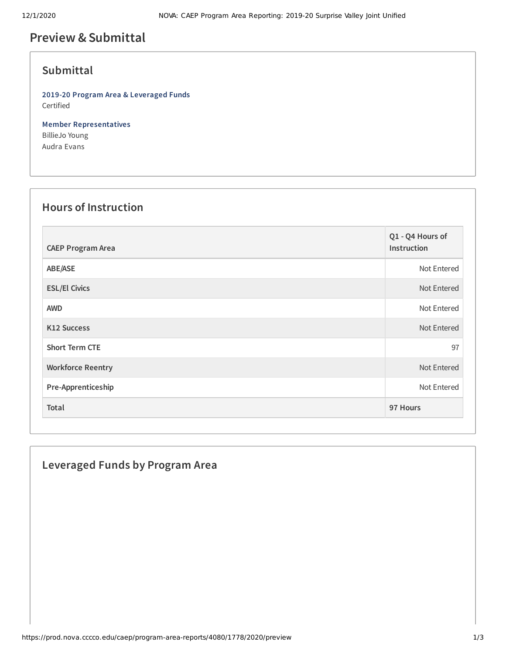## **Preview &Submittal**

### **Submittal**

**2019-20 Program Area & Leveraged Funds** Certified

**Member Representatives** BillieJo Young Audra Evans

### **Hours of Instruction**

| <b>CAEP Program Area</b> | Q1 - Q4 Hours of<br>Instruction |
|--------------------------|---------------------------------|
| ABE/ASE                  | Not Entered                     |
| <b>ESL/El Civics</b>     | Not Entered                     |
| <b>AWD</b>               | Not Entered                     |
| K12 Success              | Not Entered                     |
| <b>Short Term CTE</b>    | 97                              |
| <b>Workforce Reentry</b> | Not Entered                     |
| Pre-Apprenticeship       | Not Entered                     |
| Total                    | 97 Hours                        |

# **Leveraged Funds by Program Area**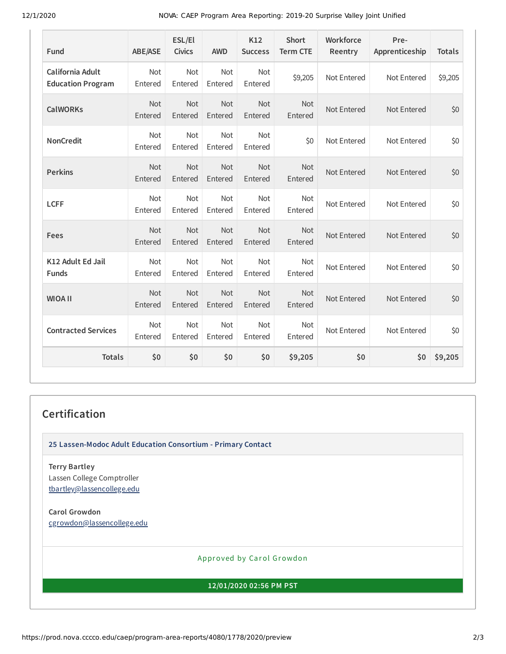12/1/2020 NOVA: CAEP Program Area Reporting: 2019-20 Surprise Valley Joint Unified

| Fund                                         | <b>ABE/ASE</b>        | ESL/El<br><b>Civics</b> | <b>AWD</b>     | K12<br><b>Success</b> | <b>Short</b><br><b>Term CTE</b> | Workforce<br>Reentry | Pre-<br>Apprenticeship | <b>Totals</b> |
|----------------------------------------------|-----------------------|-------------------------|----------------|-----------------------|---------------------------------|----------------------|------------------------|---------------|
| California Adult<br><b>Education Program</b> | <b>Not</b><br>Entered | Not<br>Entered          | Not<br>Entered | Not<br>Entered        | \$9,205                         | Not Entered          | Not Entered            | \$9,205       |
| <b>CalWORKs</b>                              | <b>Not</b><br>Entered | Not<br>Entered          | Not<br>Entered | Not<br>Entered        | <b>Not</b><br>Entered           | Not Entered          | Not Entered            | \$0           |
| <b>NonCredit</b>                             | Not<br>Entered        | Not<br>Entered          | Not<br>Entered | Not<br>Entered        | \$0                             | Not Entered          | Not Entered            | \$0           |
| <b>Perkins</b>                               | Not<br>Entered        | Not<br>Entered          | Not<br>Entered | Not<br>Entered        | <b>Not</b><br>Entered           | Not Entered          | Not Entered            | \$0           |
| <b>LCFF</b>                                  | Not<br>Entered        | Not<br>Entered          | Not<br>Entered | Not<br>Entered        | Not<br>Entered                  | Not Entered          | Not Entered            | \$0           |
| Fees                                         | Not<br>Entered        | Not<br>Entered          | Not<br>Entered | Not<br>Entered        | Not<br>Entered                  | Not Entered          | Not Entered            | \$0           |
| K12 Adult Ed Jail<br><b>Funds</b>            | <b>Not</b><br>Entered | Not<br>Entered          | Not<br>Entered | Not<br>Entered        | <b>Not</b><br>Entered           | Not Entered          | Not Entered            | \$0           |
| <b>WIOA II</b>                               | Not<br>Entered        | Not<br>Entered          | Not<br>Entered | Not<br>Entered        | Not<br>Entered                  | Not Entered          | Not Entered            | \$0           |
| <b>Contracted Services</b>                   | Not<br>Entered        | Not<br>Entered          | Not<br>Entered | Not<br>Entered        | Not<br>Entered                  | Not Entered          | Not Entered            | \$0           |
| <b>Totals</b>                                | \$0                   | \$0                     | \$0            | \$0                   | \$9,205                         | \$0                  | \$0                    | \$9,205       |

#### **Certification**

**25 Lassen-Modoc Adult Education Consortium - Primary Contact**

**Terry Bartley** Lassen College Comptroller [tbartley@lassencollege.edu](mailto:tbartley@lassencollege.edu)

**Carol Growdon** [cgrowdon@lassencollege.edu](mailto:cgrowdon@lassencollege.edu)

Approved by Carol Growdon

**12/01/2020 02:56 PM PST**